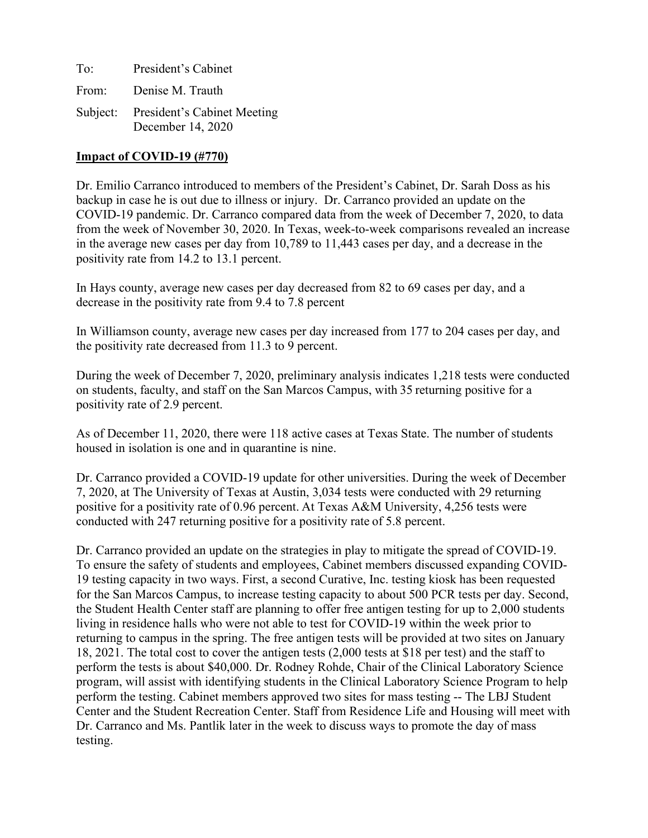To: President's Cabinet From: Denise M. Trauth Subject: President's Cabinet Meeting December 14, 2020

#### **Impact of COVID-19 (#770)**

Dr. Emilio Carranco introduced to members of the President's Cabinet, Dr. Sarah Doss as his backup in case he is out due to illness or injury. Dr. Carranco provided an update on the COVID-19 pandemic. Dr. Carranco compared data from the week of December 7, 2020, to data from the week of November 30, 2020. In Texas, week-to-week comparisons revealed an increase in the average new cases per day from 10,789 to 11,443 cases per day, and a decrease in the positivity rate from 14.2 to 13.1 percent.

In Hays county, average new cases per day decreased from 82 to 69 cases per day, and a decrease in the positivity rate from 9.4 to 7.8 percent

In Williamson county, average new cases per day increased from 177 to 204 cases per day, and the positivity rate decreased from 11.3 to 9 percent.

During the week of December 7, 2020, preliminary analysis indicates 1,218 tests were conducted on students, faculty, and staff on the San Marcos Campus, with 35 returning positive for a positivity rate of 2.9 percent.

As of December 11, 2020, there were 118 active cases at Texas State. The number of students housed in isolation is one and in quarantine is nine.

Dr. Carranco provided a COVID-19 update for other universities. During the week of December 7, 2020, at The University of Texas at Austin, 3,034 tests were conducted with 29 returning positive for a positivity rate of 0.96 percent. At Texas A&M University, 4,256 tests were conducted with 247 returning positive for a positivity rate of 5.8 percent.

Dr. Carranco provided an update on the strategies in play to mitigate the spread of COVID-19. To ensure the safety of students and employees, Cabinet members discussed expanding COVID-19 testing capacity in two ways. First, a second Curative, Inc. testing kiosk has been requested for the San Marcos Campus, to increase testing capacity to about 500 PCR tests per day. Second, the Student Health Center staff are planning to offer free antigen testing for up to 2,000 students living in residence halls who were not able to test for COVID-19 within the week prior to returning to campus in the spring. The free antigen tests will be provided at two sites on January 18, 2021. The total cost to cover the antigen tests (2,000 tests at \$18 per test) and the staff to perform the tests is about \$40,000. Dr. Rodney Rohde, Chair of the Clinical Laboratory Science program, will assist with identifying students in the Clinical Laboratory Science Program to help perform the testing. Cabinet members approved two sites for mass testing -- The LBJ Student Center and the Student Recreation Center. Staff from Residence Life and Housing will meet with Dr. Carranco and Ms. Pantlik later in the week to discuss ways to promote the day of mass testing.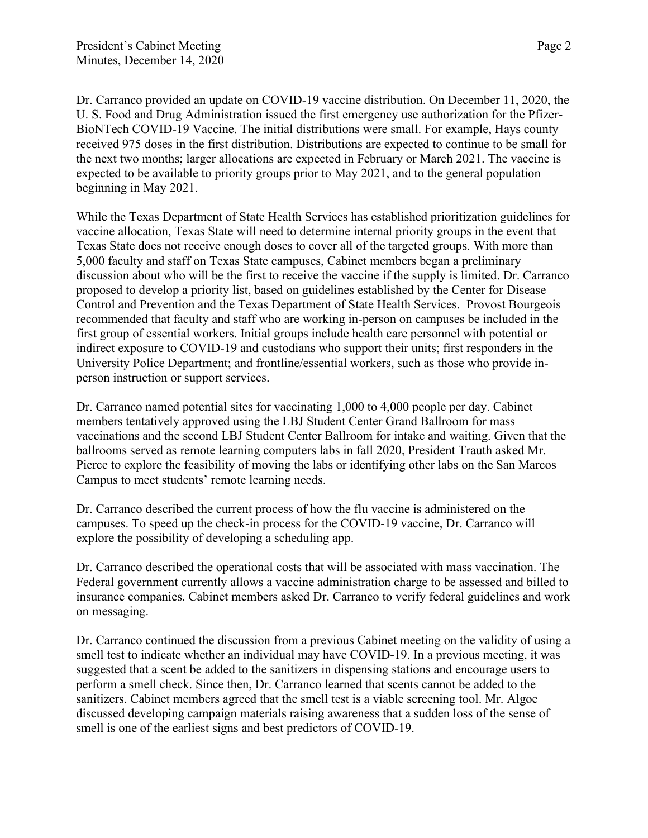Dr. Carranco provided an update on COVID-19 vaccine distribution. On December 11, 2020, the U. S. Food and Drug Administration issued the first emergency use authorization for the Pfizer-BioNTech COVID-19 Vaccine. The initial distributions were small. For example, Hays county received 975 doses in the first distribution. Distributions are expected to continue to be small for the next two months; larger allocations are expected in February or March 2021. The vaccine is expected to be available to priority groups prior to May 2021, and to the general population beginning in May 2021.

While the Texas Department of State Health Services has established prioritization guidelines for vaccine allocation, Texas State will need to determine internal priority groups in the event that Texas State does not receive enough doses to cover all of the targeted groups. With more than 5,000 faculty and staff on Texas State campuses, Cabinet members began a preliminary discussion about who will be the first to receive the vaccine if the supply is limited. Dr. Carranco proposed to develop a priority list, based on guidelines established by the Center for Disease Control and Prevention and the Texas Department of State Health Services. Provost Bourgeois recommended that faculty and staff who are working in-person on campuses be included in the first group of essential workers. Initial groups include health care personnel with potential or indirect exposure to COVID-19 and custodians who support their units; first responders in the University Police Department; and frontline/essential workers, such as those who provide inperson instruction or support services.

Dr. Carranco named potential sites for vaccinating 1,000 to 4,000 people per day. Cabinet members tentatively approved using the LBJ Student Center Grand Ballroom for mass vaccinations and the second LBJ Student Center Ballroom for intake and waiting. Given that the ballrooms served as remote learning computers labs in fall 2020, President Trauth asked Mr. Pierce to explore the feasibility of moving the labs or identifying other labs on the San Marcos Campus to meet students' remote learning needs.

Dr. Carranco described the current process of how the flu vaccine is administered on the campuses. To speed up the check-in process for the COVID-19 vaccine, Dr. Carranco will explore the possibility of developing a scheduling app.

Dr. Carranco described the operational costs that will be associated with mass vaccination. The Federal government currently allows a vaccine administration charge to be assessed and billed to insurance companies. Cabinet members asked Dr. Carranco to verify federal guidelines and work on messaging.

Dr. Carranco continued the discussion from a previous Cabinet meeting on the validity of using a smell test to indicate whether an individual may have COVID-19. In a previous meeting, it was suggested that a scent be added to the sanitizers in dispensing stations and encourage users to perform a smell check. Since then, Dr. Carranco learned that scents cannot be added to the sanitizers. Cabinet members agreed that the smell test is a viable screening tool. Mr. Algoe discussed developing campaign materials raising awareness that a sudden loss of the sense of smell is one of the earliest signs and best predictors of COVID-19.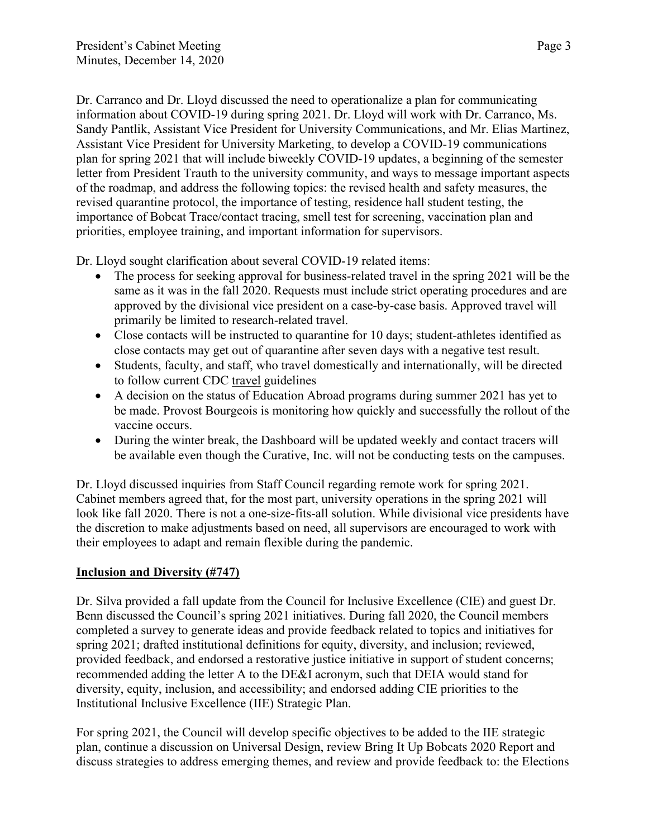Dr. Carranco and Dr. Lloyd discussed the need to operationalize a plan for communicating information about COVID-19 during spring 2021. Dr. Lloyd will work with Dr. Carranco, Ms. Sandy Pantlik, Assistant Vice President for University Communications, and Mr. Elias Martinez, Assistant Vice President for University Marketing, to develop a COVID-19 communications plan for spring 2021 that will include biweekly COVID-19 updates, a beginning of the semester letter from President Trauth to the university community, and ways to message important aspects of the roadmap, and address the following topics: the revised health and safety measures, the revised quarantine protocol, the importance of testing, residence hall student testing, the importance of Bobcat Trace/contact tracing, smell test for screening, vaccination plan and priorities, employee training, and important information for supervisors.

Dr. Lloyd sought clarification about several COVID-19 related items:

- The process for seeking approval for business-related travel in the spring 2021 will be the same as it was in the fall 2020. Requests must include strict operating procedures and are approved by the divisional vice president on a case-by-case basis. Approved travel will primarily be limited to research-related travel.
- Close contacts will be instructed to quarantine for 10 days; student-athletes identified as close contacts may get out of quarantine after seven days with a negative test result.
- Students, faculty, and staff, who travel domestically and internationally, will be directed to follow current CDC [travel](https://www.cdc.gov/coronavirus/2019-ncov/travelers/index.html) guidelines
- A decision on the status of Education Abroad programs during summer 2021 has yet to be made. Provost Bourgeois is monitoring how quickly and successfully the rollout of the vaccine occurs.
- During the winter break, the Dashboard will be updated weekly and contact tracers will be available even though the Curative, Inc. will not be conducting tests on the campuses.

Dr. Lloyd discussed inquiries from Staff Council regarding remote work for spring 2021. Cabinet members agreed that, for the most part, university operations in the spring 2021 will look like fall 2020. There is not a one-size-fits-all solution. While divisional vice presidents have the discretion to make adjustments based on need, all supervisors are encouraged to work with their employees to adapt and remain flexible during the pandemic.

## **Inclusion and Diversity (#747)**

Dr. Silva provided a fall update from the Council for Inclusive Excellence (CIE) and guest Dr. Benn discussed the Council's spring 2021 initiatives. During fall 2020, the Council members completed a survey to generate ideas and provide feedback related to topics and initiatives for spring 2021; drafted institutional definitions for equity, diversity, and inclusion; reviewed, provided feedback, and endorsed a restorative justice initiative in support of student concerns; recommended adding the letter A to the DE&I acronym, such that DEIA would stand for diversity, equity, inclusion, and accessibility; and endorsed adding CIE priorities to the Institutional Inclusive Excellence (IIE) Strategic Plan.

For spring 2021, the Council will develop specific objectives to be added to the IIE strategic plan, continue a discussion on Universal Design, review Bring It Up Bobcats 2020 Report and discuss strategies to address emerging themes, and review and provide feedback to: the Elections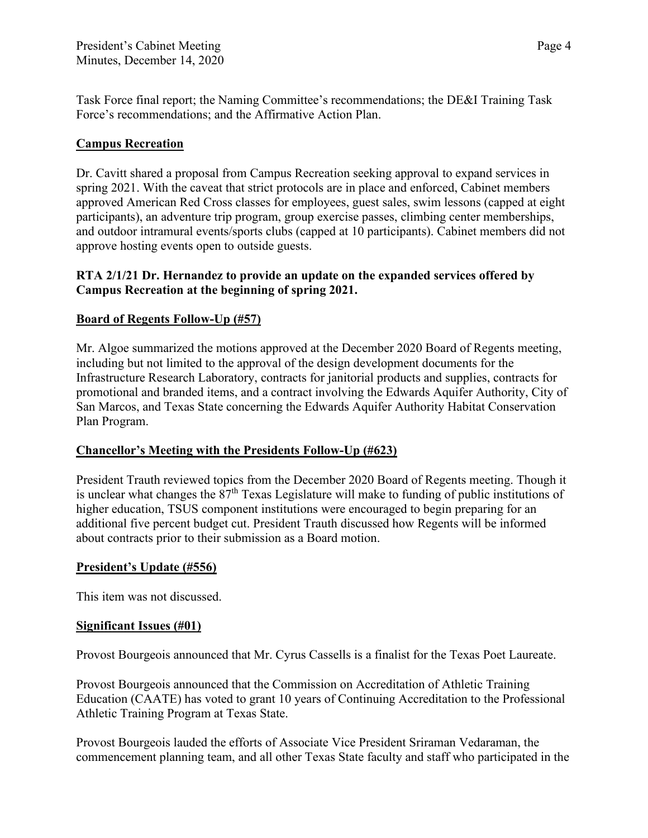Task Force final report; the Naming Committee's recommendations; the DE&I Training Task Force's recommendations; and the Affirmative Action Plan.

# **Campus Recreation**

Dr. Cavitt shared a proposal from Campus Recreation seeking approval to expand services in spring 2021. With the caveat that strict protocols are in place and enforced, Cabinet members approved American Red Cross classes for employees, guest sales, swim lessons (capped at eight participants), an adventure trip program, group exercise passes, climbing center memberships, and outdoor intramural events/sports clubs (capped at 10 participants). Cabinet members did not approve hosting events open to outside guests.

# **RTA 2/1/21 Dr. Hernandez to provide an update on the expanded services offered by Campus Recreation at the beginning of spring 2021.**

# **Board of Regents Follow-Up (#57)**

Mr. Algoe summarized the motions approved at the December 2020 Board of Regents meeting, including but not limited to the approval of the design development documents for the Infrastructure Research Laboratory, contracts for janitorial products and supplies, contracts for promotional and branded items, and a contract involving the Edwards Aquifer Authority, City of San Marcos, and Texas State concerning the Edwards Aquifer Authority Habitat Conservation Plan Program.

## **Chancellor's Meeting with the Presidents Follow-Up (#623)**

President Trauth reviewed topics from the December 2020 Board of Regents meeting. Though it is unclear what changes the  $87<sup>th</sup>$  Texas Legislature will make to funding of public institutions of higher education, TSUS component institutions were encouraged to begin preparing for an additional five percent budget cut. President Trauth discussed how Regents will be informed about contracts prior to their submission as a Board motion.

## **President's Update (#556)**

This item was not discussed.

#### **Significant Issues (#01)**

Provost Bourgeois announced that Mr. Cyrus Cassells is a finalist for the Texas Poet Laureate.

Provost Bourgeois announced that the Commission on Accreditation of Athletic Training Education (CAATE) has voted to grant 10 years of Continuing Accreditation to the Professional Athletic Training Program at Texas State.

Provost Bourgeois lauded the efforts of Associate Vice President Sriraman Vedaraman, the commencement planning team, and all other Texas State faculty and staff who participated in the